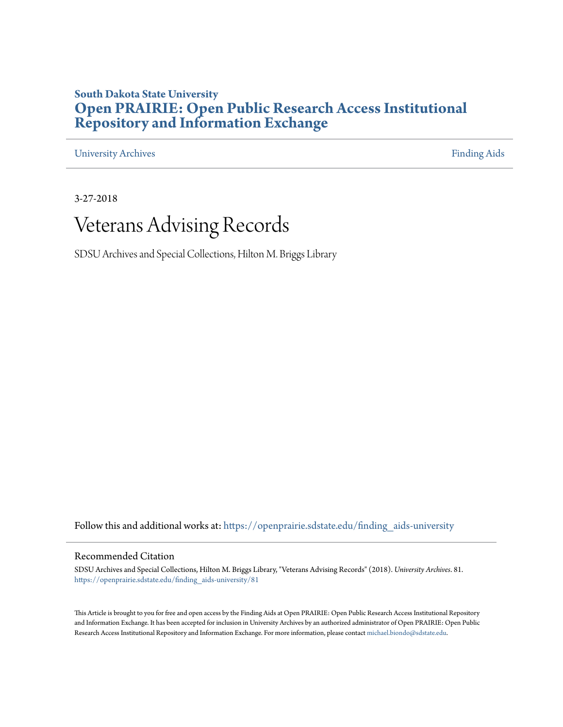#### **South Dakota State University [Open PRAIRIE: Open Public Research Access Institutional](https://openprairie.sdstate.edu?utm_source=openprairie.sdstate.edu%2Ffinding_aids-university%2F81&utm_medium=PDF&utm_campaign=PDFCoverPages) [Repository and Information Exchange](https://openprairie.sdstate.edu?utm_source=openprairie.sdstate.edu%2Ffinding_aids-university%2F81&utm_medium=PDF&utm_campaign=PDFCoverPages)**

[University Archives](https://openprairie.sdstate.edu/finding_aids-university?utm_source=openprairie.sdstate.edu%2Ffinding_aids-university%2F81&utm_medium=PDF&utm_campaign=PDFCoverPages) [Finding Aids](https://openprairie.sdstate.edu/finding_aids?utm_source=openprairie.sdstate.edu%2Ffinding_aids-university%2F81&utm_medium=PDF&utm_campaign=PDFCoverPages)

3-27-2018

## Veterans Advising Records

SDSU Archives and Special Collections, Hilton M. Briggs Library

Follow this and additional works at: [https://openprairie.sdstate.edu/finding\\_aids-university](https://openprairie.sdstate.edu/finding_aids-university?utm_source=openprairie.sdstate.edu%2Ffinding_aids-university%2F81&utm_medium=PDF&utm_campaign=PDFCoverPages)

#### Recommended Citation

SDSU Archives and Special Collections, Hilton M. Briggs Library, "Veterans Advising Records" (2018). *University Archives*. 81. [https://openprairie.sdstate.edu/finding\\_aids-university/81](https://openprairie.sdstate.edu/finding_aids-university/81?utm_source=openprairie.sdstate.edu%2Ffinding_aids-university%2F81&utm_medium=PDF&utm_campaign=PDFCoverPages)

This Article is brought to you for free and open access by the Finding Aids at Open PRAIRIE: Open Public Research Access Institutional Repository and Information Exchange. It has been accepted for inclusion in University Archives by an authorized administrator of Open PRAIRIE: Open Public Research Access Institutional Repository and Information Exchange. For more information, please contact [michael.biondo@sdstate.edu.](mailto:michael.biondo@sdstate.edu)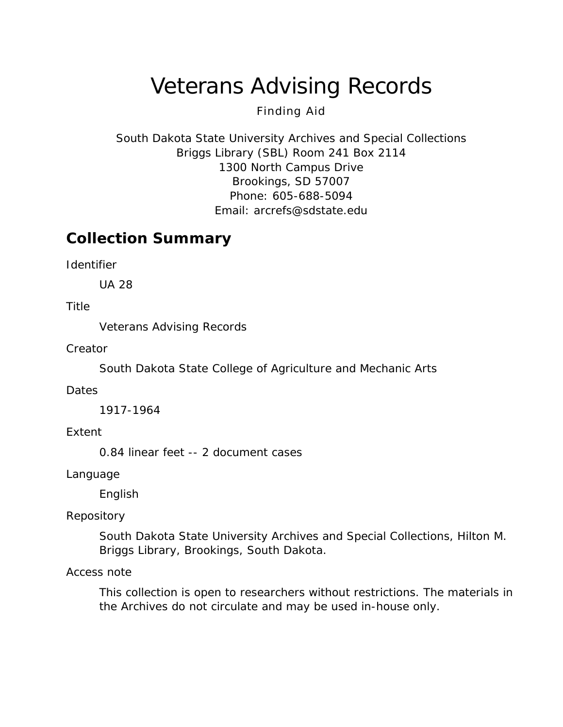# Veterans Advising Records

### Finding Aid

South Dakota State University Archives and Special Collections Briggs Library (SBL) Room 241 Box 2114 1300 North Campus Drive Brookings, SD 57007 Phone: 605-688-5094 Email: [arcrefs@sdstate.edu](mailto:arcrefs@sdstate.edu)

### **Collection Summary**

*Identifier*

UA 28

#### *Title*

Veterans Advising Records

*Creator*

South Dakota State College of Agriculture and Mechanic Arts

#### *Dates*

1917-1964

#### *Extent*

0.84 linear feet -- 2 document cases

*Language*

English

#### *Repository*

South Dakota State University Archives and Special Collections, Hilton M. Briggs Library, Brookings, South Dakota.

#### *Access note*

This collection is open to researchers without restrictions. The materials in the Archives do not circulate and may be used in-house only.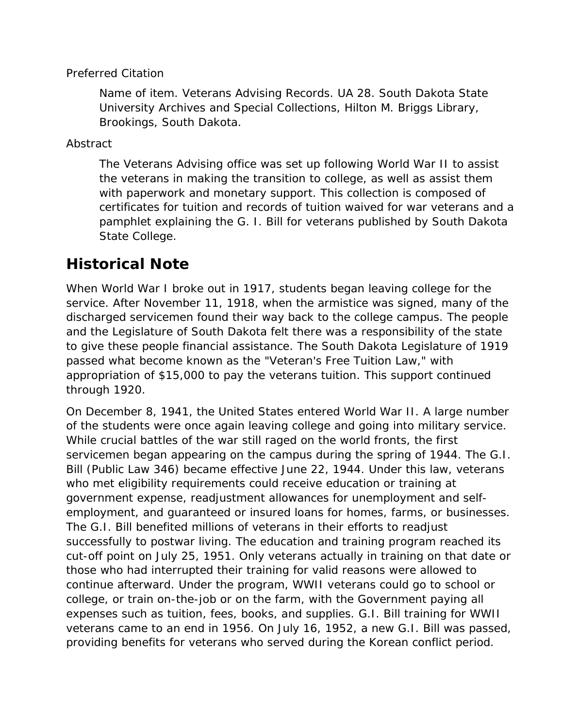#### *Preferred Citation*

*Name of item*. Veterans Advising Records. UA 28. South Dakota State University Archives and Special Collections, Hilton M. Briggs Library, Brookings, South Dakota.

#### *Abstract*

The Veterans Advising office was set up following World War II to assist the veterans in making the transition to college, as well as assist them with paperwork and monetary support. This collection is composed of certificates for tuition and records of tuition waived for war veterans and a pamphlet explaining the G. I. Bill for veterans published by South Dakota State College.

### **Historical Note**

When World War I broke out in 1917, students began leaving college for the service. After November 11, 1918, when the armistice was signed, many of the discharged servicemen found their way back to the college campus. The people and the Legislature of South Dakota felt there was a responsibility of the state to give these people financial assistance. The South Dakota Legislature of 1919 passed what become known as the "Veteran's Free Tuition Law," with appropriation of \$15,000 to pay the veterans tuition. This support continued through 1920.

On December 8, 1941, the United States entered World War II. A large number of the students were once again leaving college and going into military service. While crucial battles of the war still raged on the world fronts, the first servicemen began appearing on the campus during the spring of 1944. The G.I. Bill (Public Law 346) became effective June 22, 1944. Under this law, veterans who met eligibility requirements could receive education or training at government expense, readjustment allowances for unemployment and selfemployment, and guaranteed or insured loans for homes, farms, or businesses. The G.I. Bill benefited millions of veterans in their efforts to readjust successfully to postwar living. The education and training program reached its cut-off point on July 25, 1951. Only veterans actually in training on that date or those who had interrupted their training for valid reasons were allowed to continue afterward. Under the program, WWII veterans could go to school or college, or train on-the-job or on the farm, with the Government paying all expenses such as tuition, fees, books, and supplies. G.I. Bill training for WWII veterans came to an end in 1956. On July 16, 1952, a new G.I. Bill was passed, providing benefits for veterans who served during the Korean conflict period.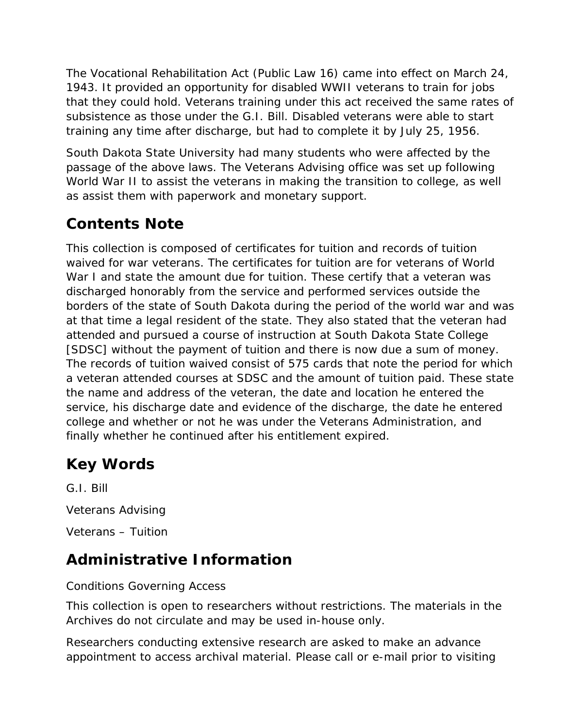The Vocational Rehabilitation Act (Public Law 16) came into effect on March 24, 1943. It provided an opportunity for disabled WWII veterans to train for jobs that they could hold. Veterans training under this act received the same rates of subsistence as those under the G.I. Bill. Disabled veterans were able to start training any time after discharge, but had to complete it by July 25, 1956.

South Dakota State University had many students who were affected by the passage of the above laws. The Veterans Advising office was set up following World War II to assist the veterans in making the transition to college, as well as assist them with paperwork and monetary support.

## **Contents Note**

This collection is composed of certificates for tuition and records of tuition waived for war veterans. The certificates for tuition are for veterans of World War I and state the amount due for tuition. These certify that a veteran was discharged honorably from the service and performed services outside the borders of the state of South Dakota during the period of the world war and was at that time a legal resident of the state. They also stated that the veteran had attended and pursued a course of instruction at South Dakota State College [SDSC] without the payment of tuition and there is now due a sum of money. The records of tuition waived consist of 575 cards that note the period for which a veteran attended courses at SDSC and the amount of tuition paid. These state the name and address of the veteran, the date and location he entered the service, his discharge date and evidence of the discharge, the date he entered college and whether or not he was under the Veterans Administration, and finally whether he continued after his entitlement expired.

### **Key Words**

G.I. Bill Veterans Advising Veterans – Tuition

### **Administrative Information**

#### *Conditions Governing Access*

This collection is open to researchers without restrictions. The materials in the Archives do not circulate and may be used in-house only.

Researchers conducting extensive research are asked to make an advance appointment to access archival material. Please call or e-mail prior to visiting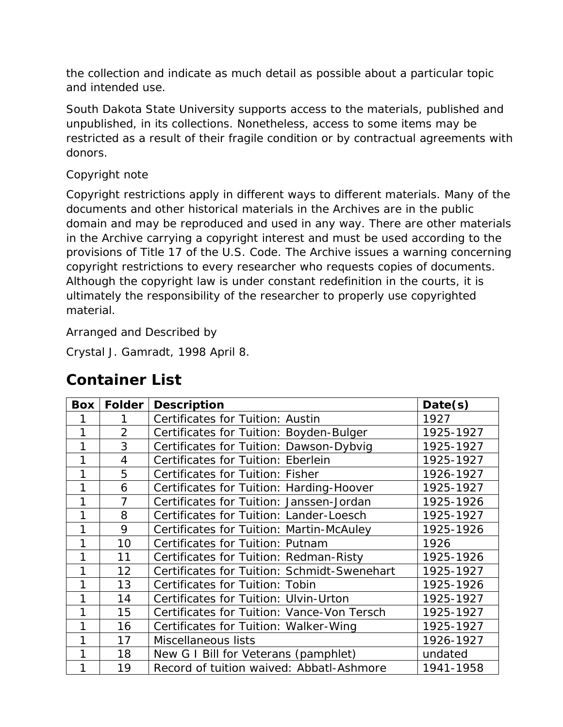the collection and indicate as much detail as possible about a particular topic and intended use.

South Dakota State University supports access to the materials, published and unpublished, in its collections. Nonetheless, access to some items may be restricted as a result of their fragile condition or by contractual agreements with donors.

#### *Copyright note*

Copyright restrictions apply in different ways to different materials. Many of the documents and other historical materials in the Archives are in the public domain and may be reproduced and used in any way. There are other materials in the Archive carrying a copyright interest and must be used according to the provisions of Title 17 of the U.S. Code. The Archive issues a warning concerning copyright restrictions to every researcher who requests copies of documents. Although the copyright law is under constant redefinition in the courts, it is ultimately the responsibility of the researcher to properly use copyrighted material.

#### *Arranged and Described by*

Crystal J. Gamradt, 1998 April 8.

### **Container List**

| <b>Box</b> | Folder         | <b>Description</b>                          | Date(s)   |
|------------|----------------|---------------------------------------------|-----------|
|            |                | Certificates for Tuition: Austin            | 1927      |
|            | $\overline{2}$ | Certificates for Tuition: Boyden-Bulger     | 1925-1927 |
| 1          | 3              | Certificates for Tuition: Dawson-Dybvig     | 1925-1927 |
| 1          | $\overline{4}$ | Certificates for Tuition: Eberlein          | 1925-1927 |
| 1          | 5              | Certificates for Tuition: Fisher            | 1926-1927 |
| 1          | 6              | Certificates for Tuition: Harding-Hoover    | 1925-1927 |
| 1          | $\overline{7}$ | Certificates for Tuition: Janssen-Jordan    | 1925-1926 |
| 1          | 8              | Certificates for Tuition: Lander-Loesch     | 1925-1927 |
|            | 9              | Certificates for Tuition: Martin-McAuley    | 1925-1926 |
|            | 10             | Certificates for Tuition: Putnam            | 1926      |
| 1          | 11             | Certificates for Tuition: Redman-Risty      | 1925-1926 |
| 1          | 12             | Certificates for Tuition: Schmidt-Swenehart | 1925-1927 |
| 1          | 13             | Certificates for Tuition: Tobin             | 1925-1926 |
| 1          | 14             | Certificates for Tuition: Ulvin-Urton       | 1925-1927 |
| 1          | 15             | Certificates for Tuition: Vance-Von Tersch  | 1925-1927 |
|            | 16             | Certificates for Tuition: Walker-Wing       | 1925-1927 |
|            | 17             | Miscellaneous lists                         | 1926-1927 |
|            | 18             | New G I Bill for Veterans (pamphlet)        | undated   |
| 1          | 19             | Record of tuition waived: Abbatl-Ashmore    | 1941-1958 |